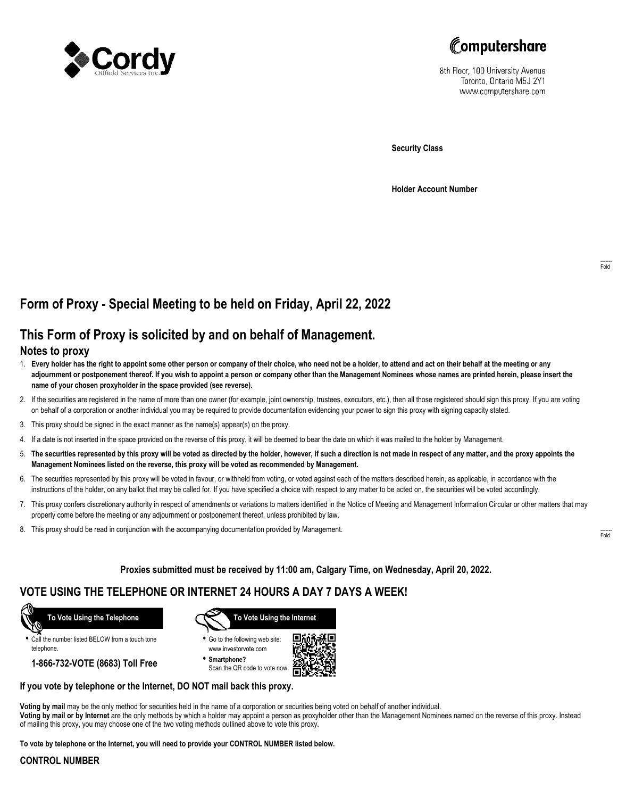



8th Floor, 100 University Avenue Toronto, Ontario M5J 2Y1 www.computershare.com

**Security Class**

**Holder Account Number**

# **Form of Proxy - Special Meeting to be held on Friday, April 22, 2022**

# **This Form of Proxy is solicited by and on behalf of Management.**

## **Notes to proxy**

- 1. **Every holder has the right to appoint some other person or company of their choice, who need not be a holder, to attend and act on their behalf at the meeting or any adjournment or postponement thereof. If you wish to appoint a person or company other than the Management Nominees whose names are printed herein, please insert the name of your chosen proxyholder in the space provided (see reverse).**
- 2. If the securities are registered in the name of more than one owner (for example, joint ownership, trustees, executors, etc.), then all those registered should sign this proxy. If you are voting on behalf of a corporation or another individual you may be required to provide documentation evidencing your power to sign this proxy with signing capacity stated.
- 3. This proxy should be signed in the exact manner as the name(s) appear(s) on the proxy.
- 4. If a date is not inserted in the space provided on the reverse of this proxy, it will be deemed to bear the date on which it was mailed to the holder by Management.
- 5. **The securities represented by this proxy will be voted as directed by the holder, however, if such a direction is not made in respect of any matter, and the proxy appoints the Management Nominees listed on the reverse, this proxy will be voted as recommended by Management.**
- 6. The securities represented by this proxy will be voted in favour, or withheld from voting, or voted against each of the matters described herein, as applicable, in accordance with the instructions of the holder, on any ballot that may be called for. If you have specified a choice with respect to any matter to be acted on, the securities will be voted accordingly.
- 7. This proxy confers discretionary authority in respect of amendments or variations to matters identified in the Notice of Meeting and Management Information Circular or other matters that may properly come before the meeting or any adjournment or postponement thereof, unless prohibited by law.
- 8. This proxy should be read in conjunction with the accompanying documentation provided by Management.

**Proxies submitted must be received by 11:00 am, Calgary Time, on Wednesday, April 20, 2022.**

## **VOTE USING THE TELEPHONE OR INTERNET 24 HOURS A DAY 7 DAYS A WEEK!**



**•** Call the number listed BELOW from a touch tone telephone.

**1-866-732-VOTE (8683) Toll Free**



**•** Go to the following web site: www.investorvote.com

**• Smartphone?** Scan the QR code to vote now.



## **If you vote by telephone or the Internet, DO NOT mail back this proxy.**

**Voting by mail** may be the only method for securities held in the name of a corporation or securities being voted on behalf of another individual. **Voting by mail or by Internet** are the only methods by which a holder may appoint a person as proxyholder other than the Management Nominees named on the reverse of this proxy. Instead of mailing this proxy, you may choose one of the two voting methods outlined above to vote this proxy.

**To vote by telephone or the Internet, you will need to provide your CONTROL NUMBER listed below.**

### **CONTROL NUMBER**